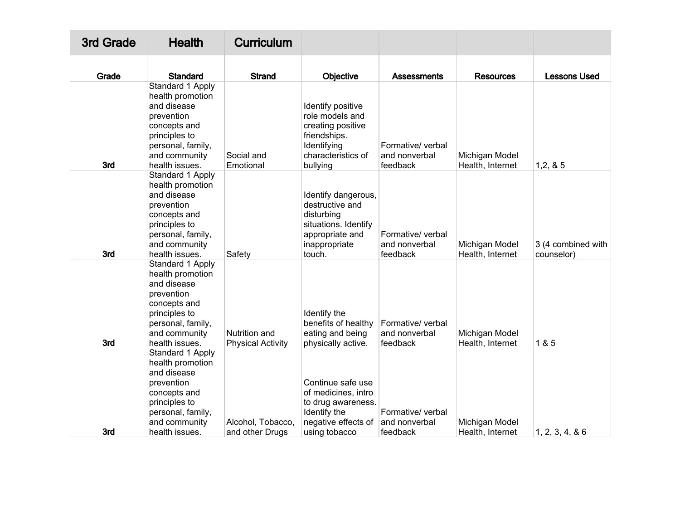| 3rd Grade | <b>Health</b>                                                                                                                                              | <b>Curriculum</b>                         |                                                                                                                            |                                                |                                    |                                  |
|-----------|------------------------------------------------------------------------------------------------------------------------------------------------------------|-------------------------------------------|----------------------------------------------------------------------------------------------------------------------------|------------------------------------------------|------------------------------------|----------------------------------|
| Grade     | <b>Standard</b>                                                                                                                                            | <b>Strand</b>                             | Objective                                                                                                                  | <b>Assessments</b>                             | <b>Resources</b>                   | <b>Lessons Used</b>              |
| 3rd       | Standard 1 Apply<br>health promotion<br>and disease<br>prevention<br>concepts and<br>principles to<br>personal, family,<br>and community<br>health issues. | Social and<br>Emotional                   | Identify positive<br>role models and<br>creating positive<br>friendships.<br>Identifying<br>characteristics of<br>bullying | Formative/ verbal<br>and nonverbal<br>feedback | Michigan Model<br>Health, Internet | 1, 2, 8, 5                       |
| 3rd       | Standard 1 Apply<br>health promotion<br>and disease<br>prevention<br>concepts and<br>principles to<br>personal, family,<br>and community<br>health issues. | Safety                                    | Identify dangerous,<br>destructive and<br>disturbing<br>situations. Identify<br>appropriate and<br>inappropriate<br>touch. | Formative/ verbal<br>and nonverbal<br>feedback | Michigan Model<br>Health, Internet | 3 (4 combined with<br>counselor) |
| 3rd       | Standard 1 Apply<br>health promotion<br>and disease<br>prevention<br>concepts and<br>principles to<br>personal, family,<br>and community<br>health issues. | Nutrition and<br><b>Physical Activity</b> | Identify the<br>benefits of healthy<br>eating and being<br>physically active.                                              | Formative/ verbal<br>and nonverbal<br>feedback | Michigan Model<br>Health, Internet | 1 & 5                            |
| 3rd       | Standard 1 Apply<br>health promotion<br>and disease<br>prevention<br>concepts and<br>principles to<br>personal, family,<br>and community<br>health issues. | Alcohol, Tobacco,<br>and other Drugs      | Continue safe use<br>of medicines, intro<br>to drug awareness.<br>Identify the<br>negative effects of<br>using tobacco     | Formative/ verbal<br>and nonverbal<br>feedback | Michigan Model<br>Health, Internet | 1, 2, 3, 4, 86                   |